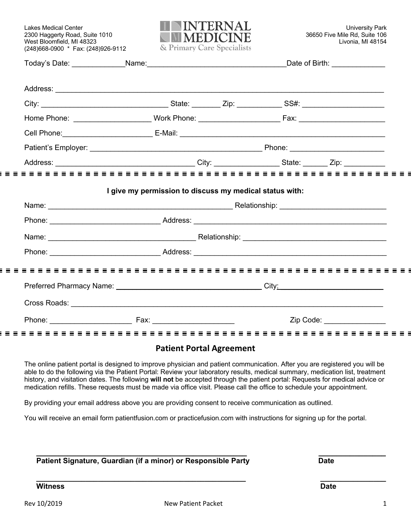(248)668-0900 \* Fax: (248)926-9112

iΞ

 $\equiv$   $\equiv$ 

i E



| I give my permission to discuss my medical status with: |  |  |
|---------------------------------------------------------|--|--|
|                                                         |  |  |
|                                                         |  |  |
|                                                         |  |  |
|                                                         |  |  |
|                                                         |  |  |

# **Patient Portal Agreement**

The online patient portal is designed to improve physician and patient communication. After you are registered you will be able to do the following via the Patient Portal: Review your laboratory results, medical summary, medication list, treatment history, and visitation dates. The following **will not** be accepted through the patient portal: Requests for medical advice or medication refills. These requests must be made via office visit. Please call the office to schedule your appointment.

By providing your email address above you are providing consent to receive communication as outlined.

You will receive an email form patientfusion.com or practicefusion.com with instructions for signing up for the portal.

| Patient Signature, Guardian (if a minor) or Responsible Party | Date |  |
|---------------------------------------------------------------|------|--|

**Witness Date** 

**\_\_\_\_\_\_\_\_\_\_\_\_\_\_\_\_\_\_\_\_\_\_\_\_\_\_\_\_\_\_\_\_\_\_\_\_\_\_\_\_\_\_\_\_\_\_\_\_\_\_\_ \_\_\_\_\_\_\_\_\_\_\_\_\_\_\_\_**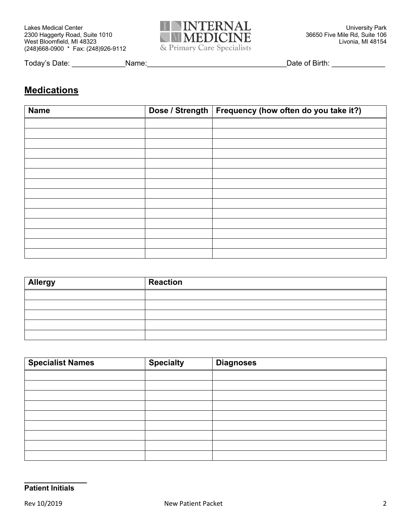

Today's Date: \_\_\_\_\_\_\_\_\_\_\_\_\_Name:\_\_\_\_\_\_\_\_\_\_\_\_\_\_\_\_\_\_\_\_\_\_\_\_\_\_\_\_\_\_\_\_\_\_Date of Birth: \_\_\_\_\_\_\_\_\_\_\_\_\_

# **Medications**

| <b>Name</b> | Dose / Strength   Frequency (how often do you take it?) |
|-------------|---------------------------------------------------------|
|             |                                                         |
|             |                                                         |
|             |                                                         |
|             |                                                         |
|             |                                                         |
|             |                                                         |
|             |                                                         |
|             |                                                         |
|             |                                                         |
|             |                                                         |
|             |                                                         |
|             |                                                         |
|             |                                                         |
|             |                                                         |

| <b>Allergy</b> | <b>Reaction</b> |
|----------------|-----------------|
|                |                 |
|                |                 |
|                |                 |
|                |                 |
|                |                 |

| <b>Specialist Names</b> | <b>Specialty</b> | <b>Diagnoses</b> |
|-------------------------|------------------|------------------|
|                         |                  |                  |
|                         |                  |                  |
|                         |                  |                  |
|                         |                  |                  |
|                         |                  |                  |
|                         |                  |                  |
|                         |                  |                  |
|                         |                  |                  |
|                         |                  |                  |

**\_\_\_\_\_\_\_\_\_\_\_\_\_\_**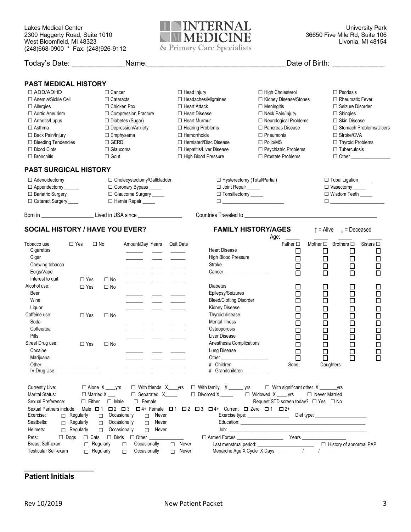

| Today's Date:                | Name:                         |                            |                                                                                                                                                                                                                                 | Date of Birth: Date of Birth:                                                                                                                                                                                                   |
|------------------------------|-------------------------------|----------------------------|---------------------------------------------------------------------------------------------------------------------------------------------------------------------------------------------------------------------------------|---------------------------------------------------------------------------------------------------------------------------------------------------------------------------------------------------------------------------------|
| <b>PAST MEDICAL HISTORY</b>  |                               |                            |                                                                                                                                                                                                                                 |                                                                                                                                                                                                                                 |
| $\Box$ ADD/ADHD              | $\Box$ Cancer                 | $\Box$ Head Injury         | $\Box$ High Cholesterol                                                                                                                                                                                                         | $\Box$ Psoriasis                                                                                                                                                                                                                |
| □ Anemia/Sickle Cell         | $\Box$ Cataracts              | $\Box$ Headaches/Migraines | □ Kidney Disease/Stones                                                                                                                                                                                                         | $\Box$ Rheumatic Fever                                                                                                                                                                                                          |
| $\Box$ Allergies             | $\Box$ Chicken Pox            | □ Heart Attack             | $\Box$ Meningitis                                                                                                                                                                                                               | $\Box$ Seizure Disorder                                                                                                                                                                                                         |
| $\Box$ Aortic Aneurism       | $\Box$ Compression Fracture   | $\Box$ Heart Disease       | □ Neck Pain/Injury                                                                                                                                                                                                              | $\Box$ Shingles                                                                                                                                                                                                                 |
| □ Arthritis/Lupus            | □ Diabetes (Sugar)            | $\Box$ Heart Murmur        | $\Box$ Neurological Problems                                                                                                                                                                                                    | $\Box$ Skin Disease                                                                                                                                                                                                             |
| $\Box$ Asthma                | $\Box$ Depression/Anxiety     | $\Box$ Hearing Problems    | □ Pancreas Disease                                                                                                                                                                                                              | □ Stomach Problems/Ulcers                                                                                                                                                                                                       |
| $\Box$ Back Pain/Injury      | $\Box$ Emphysema              | $\Box$ Hemorrhoids         | $\Box$ Pneumonia                                                                                                                                                                                                                | $\Box$ Stroke/CVA                                                                                                                                                                                                               |
| $\Box$ Bleeding Tendencies   | $\Box$ GERD                   | □ Herniated/Disc Disease   | $\Box$ Polio/MS                                                                                                                                                                                                                 | $\Box$ Thyroid Problems                                                                                                                                                                                                         |
| $\Box$ Blood Clots           | $\Box$ Glaucoma               | □ Hepatitis/Liver Disease  | $\Box$ Psychiatric Problems                                                                                                                                                                                                     | $\Box$ Tuberculosis                                                                                                                                                                                                             |
| $\Box$ Bronchitis            | $\Box$ Gout                   | □ High Blood Pressure      | $\Box$ Prostate Problems                                                                                                                                                                                                        | $\Box$ Other                                                                                                                                                                                                                    |
| <b>PAST SURGICAL HISTORY</b> |                               |                            |                                                                                                                                                                                                                                 |                                                                                                                                                                                                                                 |
| □ Adenoidectomy ______       | □ Cholecystectomy/Gallbladder |                            | $\Box$ Hysterectomy (Total/Partial)                                                                                                                                                                                             | $\Box$ Tubal Ligation $\_\_\_\_\_\$                                                                                                                                                                                             |
| $\Box$ Appendectomy          | □ Coronary Bypass _____       | □ Joint Repair _____       |                                                                                                                                                                                                                                 | □ Vasectomy _____                                                                                                                                                                                                               |
| $\Box$ Bariatric Surgery     | □ Glaucoma Surgery _____      | □ Tonsillectomy _____      |                                                                                                                                                                                                                                 | □ Wisdom Teeth ____                                                                                                                                                                                                             |
| □ Cataract Surgery ____      | $\Box$ Hernia Repair $\Box$   |                            | $\Box$ and the set of the set of the set of the set of the set of the set of the set of the set of the set of the set of the set of the set of the set of the set of the set of the set of the set of the set of the set of the | $\Box$ and the set of the set of the set of the set of the set of the set of the set of the set of the set of the set of the set of the set of the set of the set of the set of the set of the set of the set of the set of the |
| Born in                      | Lived in USA since            | Countries Traveled to      |                                                                                                                                                                                                                                 |                                                                                                                                                                                                                                 |

# **SOCIAL HISTORY / HAVE YOU EVER?** FAMILY HISTORY/AGES  $\uparrow$  = Alive ↓ = Deceased

|                                                                                                                             |                                                             |                                                                         |                                                                                             |                         |                  |                                                                                                                                                                                                                                                                                                                                                                                                                       | Age:                                   |                                                     |                                             |                                            |
|-----------------------------------------------------------------------------------------------------------------------------|-------------------------------------------------------------|-------------------------------------------------------------------------|---------------------------------------------------------------------------------------------|-------------------------|------------------|-----------------------------------------------------------------------------------------------------------------------------------------------------------------------------------------------------------------------------------------------------------------------------------------------------------------------------------------------------------------------------------------------------------------------|----------------------------------------|-----------------------------------------------------|---------------------------------------------|--------------------------------------------|
| Tobacco use<br>Cigarettes<br>Cigar<br>Chewing tobacco<br>Ecigs/Vape<br>Interest to quit                                     | $\Box$ Yes<br>$\Box$ Yes                                    | $\Box$ No<br>$\Box$ No                                                  | Amount/Day Years                                                                            |                         | <b>Quit Date</b> | <b>Heart Disease</b><br>High Blood Pressure<br>Stroke<br>Cancer <b>Cancer Cancer</b>                                                                                                                                                                                                                                                                                                                                  | Father $\Box$<br>□<br>□<br>□<br>$\Box$ | Mother $\square$<br>$\Box$<br>□<br>$\Box$<br>$\Box$ | Brothers $\square$<br>□<br>□<br>□<br>$\Box$ | Sisters $\square$<br>$\Box$<br>□<br>□<br>П |
| Alcohol use:<br>Beer<br>Wine<br>Liguor                                                                                      | $\Box$ Yes                                                  | $\Box$ No                                                               |                                                                                             |                         |                  | <b>Diabetes</b><br>Epilepsy/Seizures<br><b>Bleed/Clotting Disorder</b><br><b>Kidney Disease</b>                                                                                                                                                                                                                                                                                                                       | □<br>$\Box$<br>□                       | □<br>$\Box$<br>$\Box$<br>□                          | □<br>$\Box$<br>$\Box$<br>□                  | ப<br>$\Box$<br>$\Box$<br>Ω                 |
| Caffeine use:<br>Soda<br>Coffee/tea<br>Pills                                                                                | $\Box$ Yes                                                  | $\Box$ No                                                               |                                                                                             |                         |                  | Thyroid disease<br><b>Mental Illness</b><br>Osteoporosis<br>Liver Disease                                                                                                                                                                                                                                                                                                                                             | ō<br>$\Box$<br>$\Xi$                   | $\Box$<br>$\Box$<br>$\Box$<br>$\Box$                | $\Box$<br>$\Box$<br>$\Box$<br>$\Box$        | C<br>⊏<br>□<br>Π                           |
| Street Drug use:<br>Cocaine<br>Marijuana<br>IV Drug Use                                                                     | $\Box$ Yes                                                  | $\Box$ No                                                               | <u> 1999 - Andre Sta</u>                                                                    |                         |                  | Anesthesia Complications<br>Lung Disease<br>Other<br># Children _________<br># Grandchildren                                                                                                                                                                                                                                                                                                                          | $\Box$<br>吕<br>Sons                    | $\Box$<br>$\Box$<br>$\Box$                          | $\Box$<br>吕<br>Daughters ______             | $\Box$<br>$\Box$<br>П                      |
| Currently Live:<br>Marital Status:<br>Sexual Preference:<br>Sexual Partners include:<br>Exercise:<br>Seatbelts:<br>Helmets: | $\Box$ Either<br>Regularly<br>Regularly<br>$\Box$ Regularly | $\Box$ Married X $\_\_\_\$<br>$\Box$ Male<br>$\Box$<br>$\Box$<br>$\Box$ | $\Box$ Female<br>Occasionally<br>$\Box$<br>Occasionally<br>$\Box$<br>Occasionally<br>$\Box$ | Never<br>Never<br>Never |                  | □ Alone X ____ yrs   □ With friends X____ yrs   □ With family X _______ yrs    □ With significant other X _________ yrs<br>$\Box$ Separated X____ $\Box$ Divorced X ____ $\Box$ Widowed X ___ yrs<br>Male $\Box$ 1 $\Box$ 2 $\Box$ 3 $\Box$ 4+ Female $\Box$ 1 $\Box$ 2 $\Box$ 3 $\Box$ 4+ Current $\Box$ Zero $\Box$ 1 $\Box$ 2+<br>Exercise type: _________________________Diet type: _____________________________ | Request STD screen today? □ Yes □ No   | □ Never Married                                     |                                             |                                            |
| Pets:<br>Breast Self-exam<br><b>Testicular Self-exam</b>                                                                    | $\Box$ Dogs<br>$\Box$ Cats                                  | Regularly<br>$\Box$ Regularly                                           | $\Box$<br>Occasionally<br>$\Box$                                                            |                         | $\Box$ Never     | Menarche Age X Cycle X Days / / / /                                                                                                                                                                                                                                                                                                                                                                                   |                                        |                                                     | $\Box$ History of abnormal PAP              |                                            |

#### **\_\_\_\_\_\_\_\_\_\_\_\_\_\_\_\_\_ Patient Initials**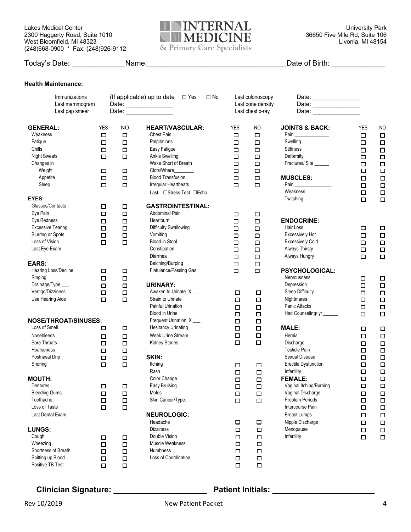Lakes Medical Center **Number of ACCOLOGY CONTROL CONTROL** Control Control Control Control Control Control Control Control Control Control Control Control Control Control Control Control Control Control Control Control Cont 2300 Haggerty Road, Suite 1010 **12 AND AND ALLETTICINITY** 36650 Five Mile Rd, Suite 106 West Bloomfield, MI 48323 Livonia, MI 48154 (248)668-0900 \* Fax: (248)926-9112



|                                                                                                                                                             |                                                                        |                                                                                   |                                                                                                                                                                                                              |                                                                                  |                                                                                                 | Date of Birth: _______________                                                                                                      |                                                                                  |                                                                                                |
|-------------------------------------------------------------------------------------------------------------------------------------------------------------|------------------------------------------------------------------------|-----------------------------------------------------------------------------------|--------------------------------------------------------------------------------------------------------------------------------------------------------------------------------------------------------------|----------------------------------------------------------------------------------|-------------------------------------------------------------------------------------------------|-------------------------------------------------------------------------------------------------------------------------------------|----------------------------------------------------------------------------------|------------------------------------------------------------------------------------------------|
| <b>Health Maintenance:</b>                                                                                                                                  |                                                                        |                                                                                   |                                                                                                                                                                                                              |                                                                                  |                                                                                                 |                                                                                                                                     |                                                                                  |                                                                                                |
| Immunizations<br>Last mammogram<br>Last pap smear                                                                                                           |                                                                        |                                                                                   | (If applicable) up to date $\Box$ Yes<br>$\Box$ No<br>Date:<br>Date: ________________                                                                                                                        |                                                                                  | Last colonoscopy<br>Last bone density<br>Last chest x-ray                                       | Date:<br>Date:                                                                                                                      |                                                                                  |                                                                                                |
| <b>GENERAL:</b><br>Weakness<br>Fatigue<br>Chills<br><b>Night Sweats</b><br>Changes in<br>Weight<br>Appetite<br>Sleep                                        | <b>YES</b><br>$\Box$<br>$\Box$<br>$\Box$<br>□<br>□<br>$\Box$<br>$\Box$ | $\underline{NO}$<br>$\Box$<br>$\Box$<br>$\Box$<br>$\Box$<br>□<br>$\Box$<br>$\Box$ | <b>HEART/VASCULAR:</b><br>Chest Pain<br>Palpitations<br>Easy Fatigue<br>Ankle Swelling<br>Wake Short of Breath<br>Clots/Where<br><b>Blood Transfusion</b><br>Irregular Heartbeats<br>Last □Stress Test □Echo | <b>YES</b><br>$\Box$<br>□<br>$\Box$<br>$\Box$<br>$\Box$<br>$\Box$<br>$\Box$<br>п | $\underline{\mathsf{NO}}$<br>$\Box$<br>$\Box$<br>$\Box$<br>$\Box$<br>$\Box$<br>$\Box$<br>□<br>□ | <b>JOINTS &amp; BACK:</b><br>Swelling<br>Stiffness<br>Deformity<br>Fractures/Site<br><b>MUSCLES:</b><br>Pain<br>Weakness            | <b>YES</b><br>$\Box$<br>□<br>$\Box$<br>□<br>□<br>□<br>$\Box$<br>$\Box$<br>$\Box$ | $NO$<br>$\Box$<br>$\Box$<br>$\Box$<br>$\Box$<br>$\Box$<br>$\Box$<br>$\Box$<br>$\Box$<br>$\Box$ |
| EYES:<br>Glasses/Contacts<br>Eye Pain<br>Eye Redness<br><b>Excessive Tearing</b><br><b>Blurring or Spots</b><br>Loss of Vision<br>Last Eye Exam ___________ | $\Box$<br>$\Box$<br>$\Box$<br>$\Box$<br>$\Box$<br>$\Box$               | □<br>$\Box$<br>$\Box$<br>$\Box$<br>$\Box$<br>$\Box$                               | <b>GASTROINTESTINAL:</b><br>Abdominal Pain<br>Heartburn<br><b>Difficulty Swallowing</b><br>Vomiting<br><b>Blood in Stool</b><br>Constipation<br>Diarrhea                                                     | □<br>$\Box$<br>$\Box$<br>$\Box$<br>$\Box$<br>$\Box$<br>$\Box$                    | □<br>$\Box$<br>$\Box$<br>$\Box$<br>$\Box$<br>$\Box$<br>$\Box$                                   | Twitching<br><b>ENDOCRINE:</b><br>Hair Loss<br><b>Excessively Hot</b><br><b>Excessively Cold</b><br>Always Thirsty<br>Always Hungry | $\Box$<br>$\Box$<br>$\Box$<br>□<br>□<br>□                                        | $\Box$<br>$\Box$<br>$\Box$<br>$\Box$<br>$\Box$<br>$\Box$                                       |
| <b>EARS:</b><br>Hearing Loss/Decline<br>Ringing<br>Drainage/Type ___<br>Vertigo/Dizziness<br>Use Hearing Aide                                               | П<br>$\Box$<br>$\Box$<br>$\Box$<br>$\Box$                              | □<br>$\Box$<br>$\Box$<br>$\Box$<br>$\Box$                                         | Belching/Burping<br>Flatulence/Passing Gas<br><b>URINARY:</b><br>Awaken to Urinate X<br>Strain to Urinate<br>Painful Urination<br><b>Blood in Urine</b>                                                      | $\Box$<br>□<br>$\Box$<br>$\Box$<br>$\Box$<br>$\Box$                              | $\Box$<br>$\Box$<br>□<br>$\Box$<br>$\Box$<br>$\Box$                                             | <b>PSYCHOLOGICAL:</b><br>Nervousness<br>Depression<br>Sleep Difficulty<br>Nightmares<br>Panic Attacks<br>Had Counseling/ yr ______  | □<br>$\Box$<br>$\Box$<br>$\Box$<br>□<br>□                                        | □<br>$\Box$<br>$\Box$<br>$\Box$<br>$\Box$<br>$\Box$                                            |
| <b>NOSE/THROAT/SINUSES:</b><br>Loss of Smell<br>Nosebleeds<br>Sore Throats<br>Hoarseness<br>Postnasal Drip<br>Snoring                                       | □<br>$\Box$<br>$\Box$<br>□<br>$\Box$<br>$\Box$                         | П<br>$\Box$<br>$\Box$<br>$\Box$<br>$\Box$<br>$\Box$                               | Frequent Urination X_<br><b>Hesitancy Urinating</b><br>Weak Urine Stream<br><b>Kidney Stones</b><br>SKIN:<br>Itching<br>Rash                                                                                 | □<br>$\Box$<br>$\Box$<br>$\Box$<br>$\Box$<br>$\Box$                              | $\Box$<br>$\Box$<br>Д<br>$\Box$<br>$\Box$<br>$\Box$                                             | <b>MALE:</b><br>Hernia<br>Discharge<br><b>Testicle Pain</b><br>Sexual Disease<br><b>Erectile Dysfunction</b><br>Infertility         | □<br>□<br>о<br>□<br>$\Box$<br>$\Box$<br>□                                        | $\Box$<br>$\Box$<br>$\Box$<br>$\Box$<br>$\Box$<br>$\Box$<br>$\Box$                             |
| <b>MOUTH:</b><br>Dentures<br><b>Bleeding Gums</b><br>Toothache<br>Loss of Taste<br>Last Dental Exam                                                         | □<br>$\Box$<br>$\Box$<br>$\Box$                                        | $\Box$<br>$\Box$<br>$\Box$<br>$\Box$                                              | Color Change<br>Easy Bruising<br>Moles<br>Skin Cancer/Type:<br><b>NEUROLOGIC:</b>                                                                                                                            | ο<br>$\Box$<br>□<br>$\Box$                                                       | $\Box$<br>$\Box$<br>$\Box$<br>$\Box$                                                            | <b>FEMALE:</b><br>Vaginal Itching/Burning<br>Vaginal Discharge<br>Problem Periods<br>Intercourse Pain<br><b>Breast Lumps</b>        | $\Box$<br>о<br>$\Box$<br>□<br>$\Box$<br>$\Box$                                   | $\Box$<br>$\Box$<br>$\Box$<br>$\Box$<br>$\Box$<br>$\Box$                                       |
| <b>LUNGS:</b><br>Cough<br>Wheezing<br>Shortness of Breath<br>Spitting up Blood<br>Positive TB Test                                                          | $\Box$<br>$\Box$<br>$\Box$<br>$\Box$<br>$\Box$                         | □<br>$\Box$<br>$\Box$<br>$\Box$<br>$\Box$                                         | Headache<br><b>Dizziness</b><br>Double Vision<br>Muscle Weakness<br>Numbness<br>Loss of Coordination                                                                                                         | $\Box$<br>$\Box$<br>$\Box$<br>□<br>$\Box$<br>□<br>$\Box$                         | $\Box$<br>$\Box$<br>$\Box$<br>$\Box$<br>$\Box$<br>$\Box$<br>$\Box$                              | Nipple Discharge<br>Menopause<br>Infertility                                                                                        | $\Box$<br>$\Box$<br>$\Box$                                                       | $\Box$<br>$\Box$<br>$\Box$                                                                     |

## **Clinician Signature: \_\_\_\_\_\_\_\_\_\_\_\_\_\_\_\_\_\_\_\_\_ Patient Initials: \_\_\_\_\_\_\_\_\_\_\_\_\_\_\_\_\_\_\_\_\_\_\_**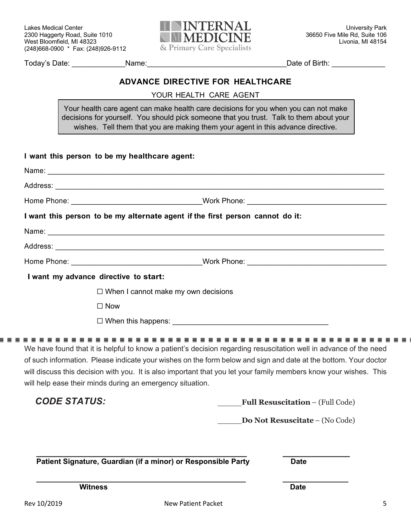

Today's Date: \_\_\_\_\_\_\_\_\_\_\_\_\_Name:\_\_\_\_\_\_\_\_\_\_\_\_\_\_\_\_\_\_\_\_\_\_\_\_\_\_\_\_\_\_\_\_\_\_Date of Birth: \_\_\_\_\_\_\_\_\_\_\_\_\_

## **ADVANCE DIRECTIVE FOR HEALTHCARE**

YOUR HEALTH CARE AGENT

Your health care agent can make health care decisions for you when you can not make decisions for yourself. You should pick someone that you trust. Talk to them about your wishes. Tell them that you are making them your agent in this advance directive.

|                                                           | I want this person to be my alternate agent if the first person cannot do it:                                                                                                                                                                                                                                                                             |
|-----------------------------------------------------------|-----------------------------------------------------------------------------------------------------------------------------------------------------------------------------------------------------------------------------------------------------------------------------------------------------------------------------------------------------------|
|                                                           |                                                                                                                                                                                                                                                                                                                                                           |
|                                                           |                                                                                                                                                                                                                                                                                                                                                           |
|                                                           | Home Phone: North Phone: North Phone: North Phone: North Phone: North Phone: North Phone: North Phone: North Phone: North Phone: North Phone: North Phone: North Phone: North Phone: North Phone: North Phone: North Phone: No                                                                                                                            |
| I want my advance directive to start:                     |                                                                                                                                                                                                                                                                                                                                                           |
|                                                           | $\Box$ When I cannot make my own decisions                                                                                                                                                                                                                                                                                                                |
| $\Box$ Now                                                |                                                                                                                                                                                                                                                                                                                                                           |
|                                                           | $\Box$ When this happens: $\Box$                                                                                                                                                                                                                                                                                                                          |
| will help ease their minds during an emergency situation. | We have found that it is helpful to know a patient's decision regarding resuscitation well in advance of the need<br>of such information. Please indicate your wishes on the form below and sign and date at the bottom. Your doctor<br>will discuss this decision with you. It is also important that you let your family members know your wishes. This |
| <b>CODE STATUS:</b>                                       | <b>Full Resuscitation - (Full Code)</b>                                                                                                                                                                                                                                                                                                                   |
|                                                           | Do Not Resuscitate - (No Code)                                                                                                                                                                                                                                                                                                                            |
|                                                           | Patient Signature, Guardian (if a minor) or Responsible Party<br><b>Date</b>                                                                                                                                                                                                                                                                              |
|                                                           |                                                                                                                                                                                                                                                                                                                                                           |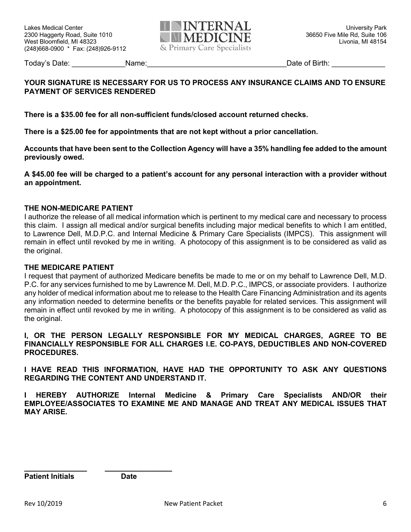

Today's Date: The Contract Contract Contract Contract Contract Contract Contract Contract Contract Contract Contract Contract Contract Contract Contract Contract Contract Contract Contract Contract Contract Contract Contra

# **YOUR SIGNATURE IS NECESSARY FOR US TO PROCESS ANY INSURANCE CLAIMS AND TO ENSURE PAYMENT OF SERVICES RENDERED**

**There is a \$35.00 fee for all non-sufficient funds/closed account returned checks.** 

**There is a \$25.00 fee for appointments that are not kept without a prior cancellation.**

**Accounts that have been sent to the Collection Agency will have a 35% handling fee added to the amount previously owed.**

**A \$45.00 fee will be charged to a patient's account for any personal interaction with a provider without an appointment.**

### **THE NON-MEDICARE PATIENT**

I authorize the release of all medical information which is pertinent to my medical care and necessary to process this claim. I assign all medical and/or surgical benefits including major medical benefits to which I am entitled, to Lawrence Dell, M.D.P.C. and Internal Medicine & Primary Care Specialists (IMPCS). This assignment will remain in effect until revoked by me in writing. A photocopy of this assignment is to be considered as valid as the original.

#### **THE MEDICARE PATIENT**

I request that payment of authorized Medicare benefits be made to me or on my behalf to Lawrence Dell, M.D. P.C. for any services furnished to me by Lawrence M. Dell, M.D. P.C., IMPCS, or associate providers. I authorize any holder of medical information about me to release to the Health Care Financing Administration and its agents any information needed to determine benefits or the benefits payable for related services. This assignment will remain in effect until revoked by me in writing. A photocopy of this assignment is to be considered as valid as the original.

**I, OR THE PERSON LEGALLY RESPONSIBLE FOR MY MEDICAL CHARGES, AGREE TO BE FINANCIALLY RESPONSIBLE FOR ALL CHARGES I.E. CO-PAYS, DEDUCTIBLES AND NON-COVERED PROCEDURES.**

**I HAVE READ THIS INFORMATION, HAVE HAD THE OPPORTUNITY TO ASK ANY QUESTIONS REGARDING THE CONTENT AND UNDERSTAND IT.**

**I HEREBY AUTHORIZE Internal Medicine & Primary Care Specialists AND/OR their EMPLOYEE/ASSOCIATES TO EXAMINE ME AND MANAGE AND TREAT ANY MEDICAL ISSUES THAT MAY ARISE.**

**\_\_\_\_\_\_\_\_\_\_\_\_\_\_ \_\_\_\_\_\_\_\_\_\_\_\_\_\_\_**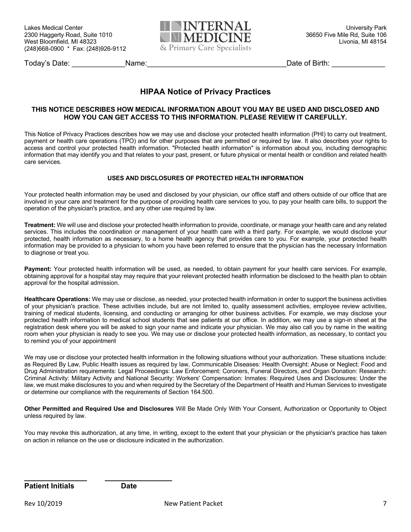

Today's Date: Today's Date: Today's Date: Name: Let us a set us a set us a set us a set us a set us a set us a set us a set us a set us a set us a set us a set us a set us a set us a set us a set us a set us a set us a set

# **HIPAA Notice of Privacy Practices**

#### **THIS NOTICE DESCRIBES HOW MEDICAL INFORMATION ABOUT YOU MAY BE USED AND DISCLOSED AND HOW YOU CAN GET ACCESS TO THIS INFORMATION. PLEASE REVIEW IT CAREFULLY.**

This Notice of Privacy Practices describes how we may use and disclose your protected health information (PHI) to carry out treatment, payment or health care operations (TPO) and for other purposes that are permitted or required by law. It also describes your rights to access and control your protected health information. "Protected health information" is information about you, including demographic information that may identify you and that relates to your past, present, or future physical or mental health or condition and related health care services.

#### **USES AND DISCLOSURES OF PROTECTED HEALTH INFORMATION**

Your protected health information may be used and disclosed by your physician, our office staff and others outside of our office that are involved in your care and treatment for the purpose of providing health care services to you, to pay your health care bills, to support the operation of the physician's practice, and any other use required by law.

**Treatment:** We will use and disclose your protected health information to provide, coordinate, or manage your health care and any related services. This includes the coordination or management of your health care with a third party. For example, we would disclose your protected, health information as necessary, to a home health agency that provides care to you. For example, your protected health information may be provided to a physician to whom you have been referred to ensure that the physician has the necessary Information to diagnose or treat you.

Payment: Your protected health information will be used, as needed, to obtain payment for your health care services. For example, obtaining approval for a hospital stay may require that your relevant protected health information be disclosed to the health plan to obtain approval for the hospital admission.

**Healthcare Operations:** We may use or disclose, as needed, your protected health information in order to support the business activities of your physician's practice. These activities include, but are not limited to, quality assessment activities, employee review activities, training of medical students, licensing, and conducting or arranging for other business activities. For example, we may disclose your protected health information to medical school students that see patients at our office. In addition, we may use a sign-in sheet at the registration desk where you will be asked to sign your name and indicate your physician. We may also call you by name in the waiting room when your physician is ready to see you. We may use or disclose your protected health information, as necessary, to contact you to remind you of your appointment

We may use or disclose your protected health information in the following situations without your authorization. These situations include: as Required By Law, Public Health issues as required by law, Communicable Diseases: Health Oversight: Abuse or Neglect: Food and Drug Administration requirements: Legal Proceedings: Law Enforcement: Coroners, Funeral Directors, and Organ Donation: Research: Criminal Activity: Military Activity and National Security: Workers' Compensation: Inmates: Required Uses and Disclosures: Under the law, we must make disclosures to you and when required by the Secretary of the Department of Health and Human Services to investigate or determine our compliance with the requirements of Section 164.500.

**Other Permitted and Required Use and Disclosures** Will Be Made Only With Your Consent, Authorization or Opportunity to Object unless required by law.

You may revoke this authorization, at any time, in writing, except to the extent that your physician or the physician's practice has taken on action in reliance on the use or disclosure indicated in the authorization.

**\_\_\_\_\_\_\_\_\_\_\_\_\_\_ \_\_\_\_\_\_\_\_\_\_\_\_\_\_\_**